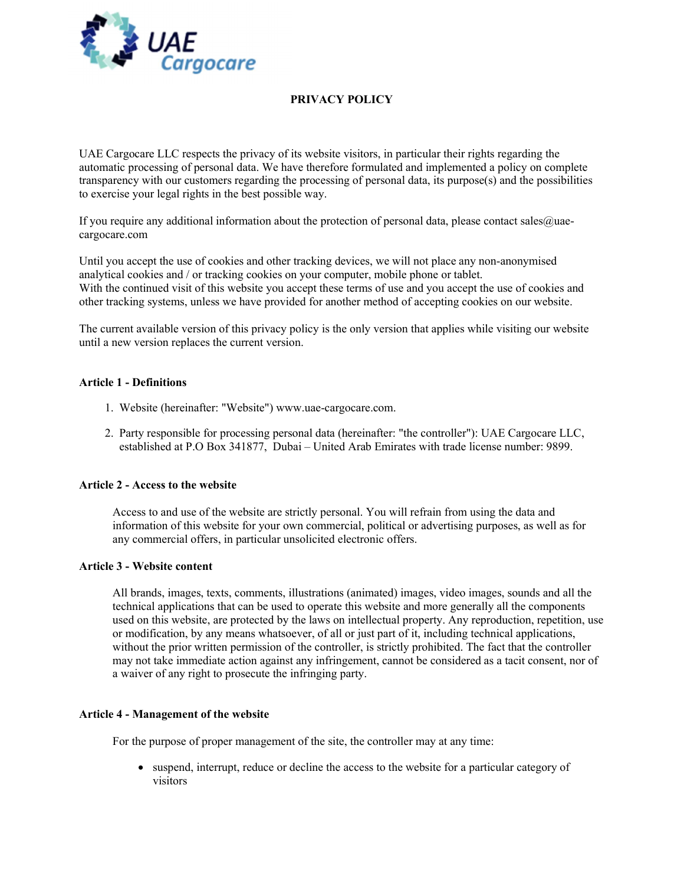

# PRIVACY POLICY

UAE Cargocare LLC respects the privacy of its website visitors, in particular their rights regarding the automatic processing of personal data. We have therefore formulated and implemented a policy on complete transparency with our customers regarding the processing of personal data, its purpose(s) and the possibilities to exercise your legal rights in the best possible way.

If you require any additional information about the protection of personal data, please contact sales@uaecargocare.com

Until you accept the use of cookies and other tracking devices, we will not place any non-anonymised analytical cookies and / or tracking cookies on your computer, mobile phone or tablet. With the continued visit of this website you accept these terms of use and you accept the use of cookies and other tracking systems, unless we have provided for another method of accepting cookies on our website.

The current available version of this privacy policy is the only version that applies while visiting our website until a new version replaces the current version.

### Article 1 - Definitions

- 1. Website (hereinafter: "Website") www.uae-cargocare.com.
- 2. Party responsible for processing personal data (hereinafter: "the controller"): UAE Cargocare LLC, established at P.O Box 341877, Dubai – United Arab Emirates with trade license number: 9899.

### Article 2 - Access to the website

Access to and use of the website are strictly personal. You will refrain from using the data and information of this website for your own commercial, political or advertising purposes, as well as for any commercial offers, in particular unsolicited electronic offers.

### Article 3 - Website content

All brands, images, texts, comments, illustrations (animated) images, video images, sounds and all the technical applications that can be used to operate this website and more generally all the components used on this website, are protected by the laws on intellectual property. Any reproduction, repetition, use or modification, by any means whatsoever, of all or just part of it, including technical applications, without the prior written permission of the controller, is strictly prohibited. The fact that the controller may not take immediate action against any infringement, cannot be considered as a tacit consent, nor of a waiver of any right to prosecute the infringing party.

### Article 4 - Management of the website

For the purpose of proper management of the site, the controller may at any time:

 suspend, interrupt, reduce or decline the access to the website for a particular category of visitors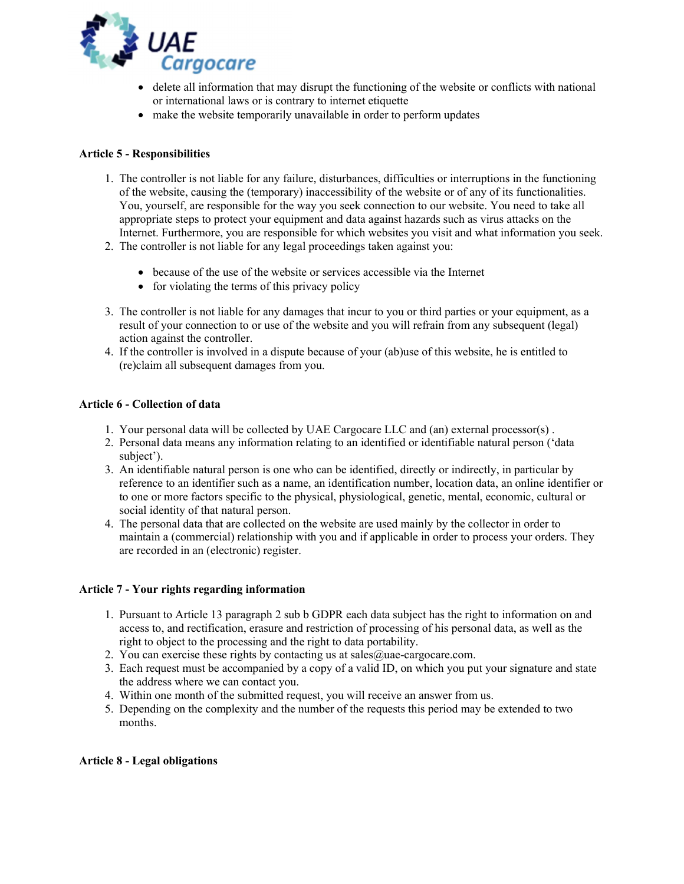

- delete all information that may disrupt the functioning of the website or conflicts with national or international laws or is contrary to internet etiquette
- make the website temporarily unavailable in order to perform updates

## Article 5 - Responsibilities

- 1. The controller is not liable for any failure, disturbances, difficulties or interruptions in the functioning of the website, causing the (temporary) inaccessibility of the website or of any of its functionalities. You, yourself, are responsible for the way you seek connection to our website. You need to take all appropriate steps to protect your equipment and data against hazards such as virus attacks on the Internet. Furthermore, you are responsible for which websites you visit and what information you seek.
- 2. The controller is not liable for any legal proceedings taken against you:
	- because of the use of the website or services accessible via the Internet
	- for violating the terms of this privacy policy
- 3. The controller is not liable for any damages that incur to you or third parties or your equipment, as a result of your connection to or use of the website and you will refrain from any subsequent (legal) action against the controller.
- 4. If the controller is involved in a dispute because of your (ab)use of this website, he is entitled to (re)claim all subsequent damages from you.

## Article 6 - Collection of data

- 1. Your personal data will be collected by UAE Cargocare LLC and (an) external processor(s) .
- 2. Personal data means any information relating to an identified or identifiable natural person ('data subject').
- 3. An identifiable natural person is one who can be identified, directly or indirectly, in particular by reference to an identifier such as a name, an identification number, location data, an online identifier or to one or more factors specific to the physical, physiological, genetic, mental, economic, cultural or social identity of that natural person.
- 4. The personal data that are collected on the website are used mainly by the collector in order to maintain a (commercial) relationship with you and if applicable in order to process your orders. They are recorded in an (electronic) register.

## Article 7 - Your rights regarding information

- 1. Pursuant to Article 13 paragraph 2 sub b GDPR each data subject has the right to information on and access to, and rectification, erasure and restriction of processing of his personal data, as well as the right to object to the processing and the right to data portability.
- 2. You can exercise these rights by contacting us at sales  $@$ uae-cargocare.com.
- 3. Each request must be accompanied by a copy of a valid ID, on which you put your signature and state the address where we can contact you.
- 4. Within one month of the submitted request, you will receive an answer from us.
- 5. Depending on the complexity and the number of the requests this period may be extended to two months.

## Article 8 - Legal obligations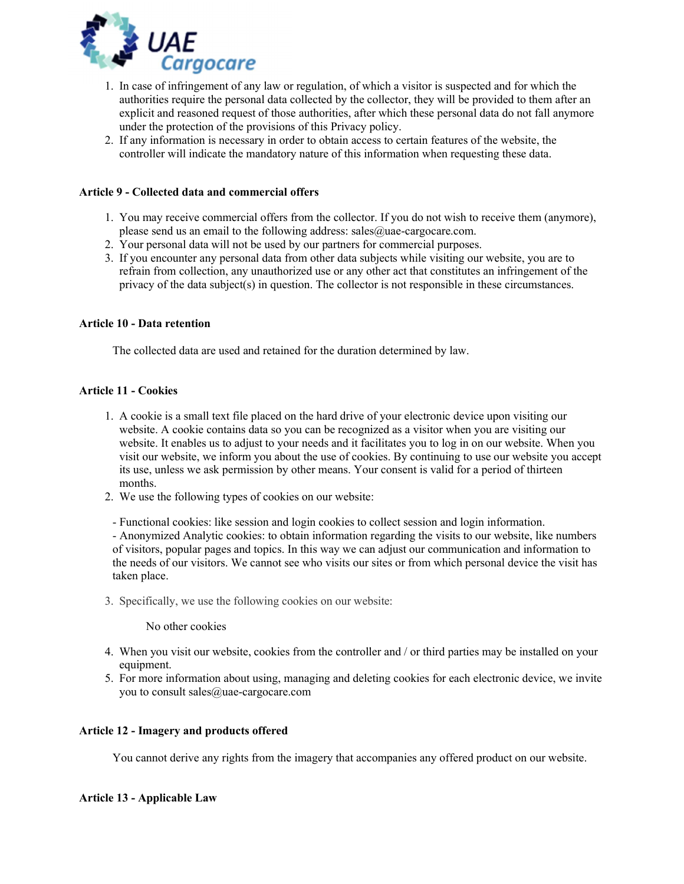

- 1. In case of infringement of any law or regulation, of which a visitor is suspected and for which the authorities require the personal data collected by the collector, they will be provided to them after an explicit and reasoned request of those authorities, after which these personal data do not fall anymore under the protection of the provisions of this Privacy policy.
- 2. If any information is necessary in order to obtain access to certain features of the website, the controller will indicate the mandatory nature of this information when requesting these data.

### Article 9 - Collected data and commercial offers

- 1. You may receive commercial offers from the collector. If you do not wish to receive them (anymore), please send us an email to the following address: sales $@$ uae-cargocare.com.
- 2. Your personal data will not be used by our partners for commercial purposes.
- 3. If you encounter any personal data from other data subjects while visiting our website, you are to refrain from collection, any unauthorized use or any other act that constitutes an infringement of the privacy of the data subject(s) in question. The collector is not responsible in these circumstances.

### Article 10 - Data retention

The collected data are used and retained for the duration determined by law.

### Article 11 - Cookies

- 1. A cookie is a small text file placed on the hard drive of your electronic device upon visiting our website. A cookie contains data so you can be recognized as a visitor when you are visiting our website. It enables us to adjust to your needs and it facilitates you to log in on our website. When you visit our website, we inform you about the use of cookies. By continuing to use our website you accept its use, unless we ask permission by other means. Your consent is valid for a period of thirteen months.
- 2. We use the following types of cookies on our website:
- Functional cookies: like session and login cookies to collect session and login information.

- Anonymized Analytic cookies: to obtain information regarding the visits to our website, like numbers of visitors, popular pages and topics. In this way we can adjust our communication and information to the needs of our visitors. We cannot see who visits our sites or from which personal device the visit has taken place.

3. Specifically, we use the following cookies on our website:

No other cookies

- 4. When you visit our website, cookies from the controller and / or third parties may be installed on your equipment.
- 5. For more information about using, managing and deleting cookies for each electronic device, we invite you to consult sales@uae-cargocare.com

### Article 12 - Imagery and products offered

You cannot derive any rights from the imagery that accompanies any offered product on our website.

### Article 13 - Applicable Law